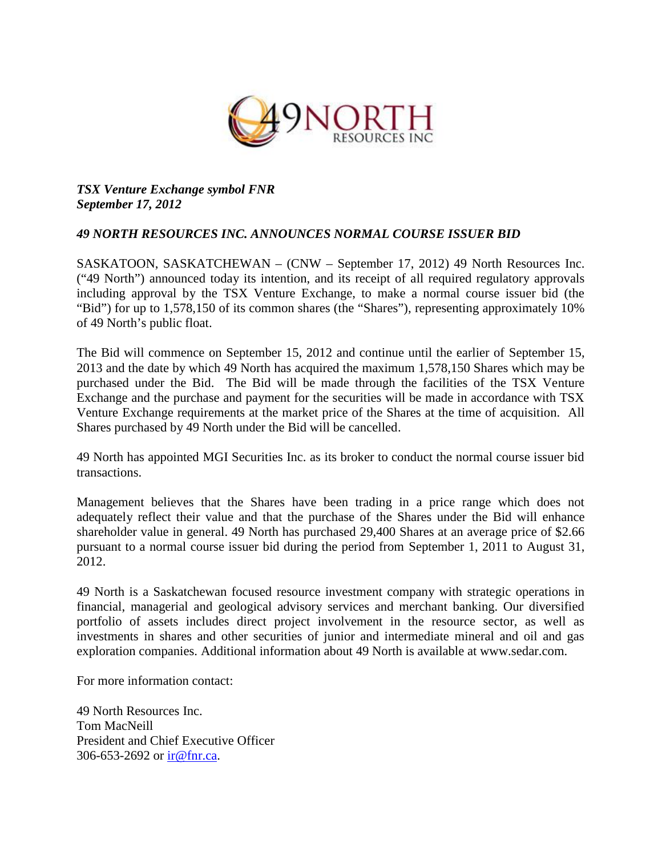

## *TSX Venture Exchange symbol FNR September 17, 2012*

## *49 NORTH RESOURCES INC. ANNOUNCES NORMAL COURSE ISSUER BID*

SASKATOON, SASKATCHEWAN – (CNW – September 17, 2012) 49 North Resources Inc. ("49 North") announced today its intention, and its receipt of all required regulatory approvals including approval by the TSX Venture Exchange, to make a normal course issuer bid (the "Bid") for up to 1,578,150 of its common shares (the "Shares"), representing approximately 10% of 49 North's public float.

The Bid will commence on September 15, 2012 and continue until the earlier of September 15, 2013 and the date by which 49 North has acquired the maximum 1,578,150 Shares which may be purchased under the Bid. The Bid will be made through the facilities of the TSX Venture Exchange and the purchase and payment for the securities will be made in accordance with TSX Venture Exchange requirements at the market price of the Shares at the time of acquisition. All Shares purchased by 49 North under the Bid will be cancelled.

49 North has appointed MGI Securities Inc. as its broker to conduct the normal course issuer bid transactions.

Management believes that the Shares have been trading in a price range which does not adequately reflect their value and that the purchase of the Shares under the Bid will enhance shareholder value in general. 49 North has purchased 29,400 Shares at an average price of \$2.66 pursuant to a normal course issuer bid during the period from September 1, 2011 to August 31, 2012.

49 North is a Saskatchewan focused resource investment company with strategic operations in financial, managerial and geological advisory services and merchant banking. Our diversified portfolio of assets includes direct project involvement in the resource sector, as well as investments in shares and other securities of junior and intermediate mineral and oil and gas exploration companies. Additional information about 49 North is available at www.sedar.com.

For more information contact:

49 North Resources Inc. Tom MacNeill President and Chief Executive Officer 306-653-2692 or ir@fnr.ca.